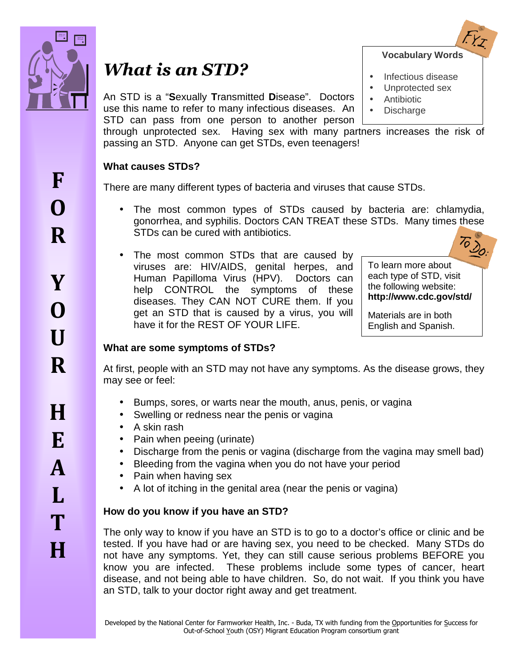

# *What is an STD?*

An STD is a "**S**exually **T**ransmitted **D**isease". Doctors use this name to refer to many infectious diseases. An STD can pass from one person to another person **Vocabulary Words**

- Infectious disease
- Unprotected sex
- **Antibiotic**
- **Discharge**

through unprotected sex. Having sex with many partners increases the risk of passing an STD. Anyone can get STDs, even teenagers!

## **What causes STDs?**

There are many different types of bacteria and viruses that cause STDs.

- The most common types of STDs caused by bacteria are: chlamydia, gonorrhea, and syphilis. Doctors CAN TREAT these STDs. Many times these STDs can be cured with antibiotics.
- The most common STDs that are caused by viruses are: HIV/AIDS, genital herpes, and Human Papilloma Virus (HPV). Doctors can help CONTROL the symptoms of these diseases. They CAN NOT CURE them. If you get an STD that is caused by a virus, you will have it for the REST OF YOUR LIFE.

To learn more about

each type of STD, visit the following website: **http://www.cdc.gov/std/** 

Materials are in both English and Spanish.

# **What are some symptoms of STDs?**

At first, people with an STD may not have any symptoms. As the disease grows, they may see or feel:

- Bumps, sores, or warts near the mouth, anus, penis, or vagina
- Swelling or redness near the penis or vagina
- A skin rash
- Pain when peeing (urinate)
- Discharge from the penis or vagina (discharge from the vagina may smell bad)
- Bleeding from the vagina when you do not have your period
- Pain when having sex
- A lot of itching in the genital area (near the penis or vagina)

# **How do you know if you have an STD?**

The only way to know if you have an STD is to go to a doctor's office or clinic and be tested. If you have had or are having sex, you need to be checked. Many STDs do not have any symptoms. Yet, they can still cause serious problems BEFORE you know you are infected. These problems include some types of cancer, heart disease, and not being able to have children. So, do not wait. If you think you have an STD, talk to your doctor right away and get treatment.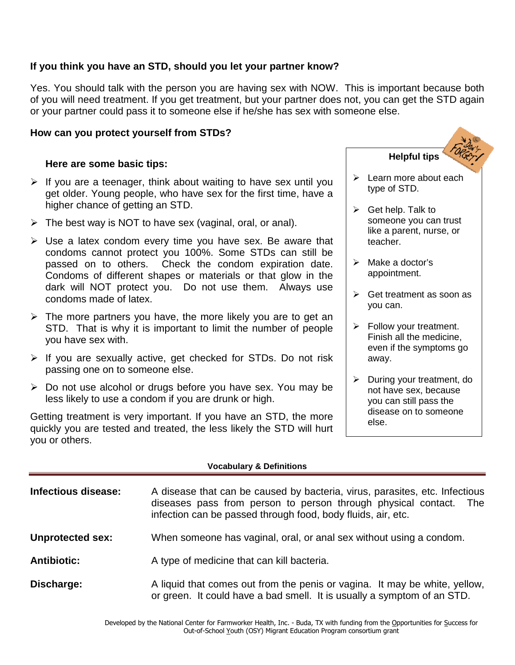## **If you think you have an STD, should you let your partner know?**

Yes. You should talk with the person you are having sex with NOW. This is important because both of you will need treatment. If you get treatment, but your partner does not, you can get the STD again or your partner could pass it to someone else if he/she has sex with someone else.

## **How can you protect yourself from STDs?**

## **Here are some basic tips:**

- $\triangleright$  If you are a teenager, think about waiting to have sex until you get older. Young people, who have sex for the first time, have a higher chance of getting an STD.
- $\triangleright$  The best way is NOT to have sex (vaginal, oral, or anal).
- $\triangleright$  Use a latex condom every time you have sex. Be aware that condoms cannot protect you 100%. Some STDs can still be passed on to others. Check the condom expiration date. Condoms of different shapes or materials or that glow in the dark will NOT protect you. Do not use them. Always use condoms made of latex.
- $\triangleright$  The more partners you have, the more likely you are to get an STD. That is why it is important to limit the number of people you have sex with.
- $\triangleright$  If you are sexually active, get checked for STDs. Do not risk passing one on to someone else.
- $\triangleright$  Do not use alcohol or drugs before you have sex. You may be less likely to use a condom if you are drunk or high.

Getting treatment is very important. If you have an STD, the more quickly you are tested and treated, the less likely the STD will hurt you or others.



- $\triangleright$  Follow your treatment. Finish all the medicine, even if the symptoms go away.
- $\triangleright$  During your treatment, do not have sex, because you can still pass the disease on to someone else.

#### **Vocabulary & Definitions**

| Infectious disease:     | A disease that can be caused by bacteria, virus, parasites, etc. Infectious<br>diseases pass from person to person through physical contact.<br>- The<br>infection can be passed through food, body fluids, air, etc. |
|-------------------------|-----------------------------------------------------------------------------------------------------------------------------------------------------------------------------------------------------------------------|
| <b>Unprotected sex:</b> | When someone has vaginal, oral, or anal sex without using a condom.                                                                                                                                                   |
| <b>Antibiotic:</b>      | A type of medicine that can kill bacteria.                                                                                                                                                                            |
| Discharge:              | A liquid that comes out from the penis or vagina. It may be white, yellow,<br>or green. It could have a bad smell. It is usually a symptom of an STD.                                                                 |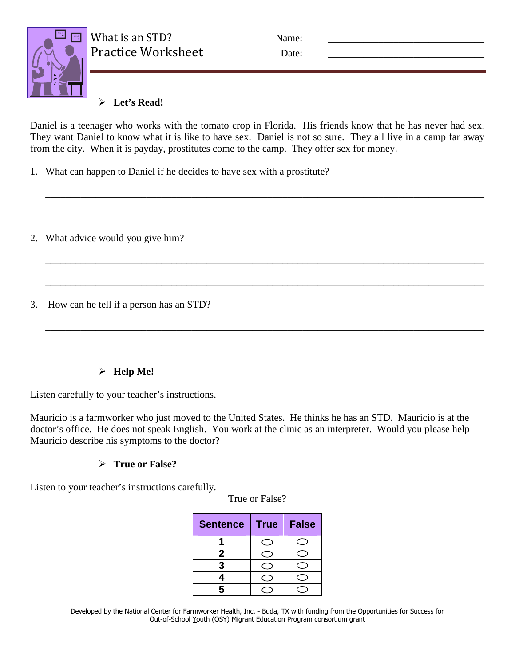What is an STD? Name:



Practice Worksheet Date:

# **Let's Read!**

Daniel is a teenager who works with the tomato crop in Florida. His friends know that he has never had sex. They want Daniel to know what it is like to have sex. Daniel is not so sure. They all live in a camp far away from the city. When it is payday, prostitutes come to the camp. They offer sex for money.

\_\_\_\_\_\_\_\_\_\_\_\_\_\_\_\_\_\_\_\_\_\_\_\_\_\_\_\_\_\_\_\_\_\_\_\_\_\_\_\_\_\_\_\_\_\_\_\_\_\_\_\_\_\_\_\_\_\_\_\_\_\_\_\_\_\_\_\_\_\_\_\_\_\_\_\_\_\_\_\_\_\_\_\_\_\_\_

\_\_\_\_\_\_\_\_\_\_\_\_\_\_\_\_\_\_\_\_\_\_\_\_\_\_\_\_\_\_\_\_\_\_\_\_\_\_\_\_\_\_\_\_\_\_\_\_\_\_\_\_\_\_\_\_\_\_\_\_\_\_\_\_\_\_\_\_\_\_\_\_\_\_\_\_\_\_\_\_\_\_\_\_\_\_\_

\_\_\_\_\_\_\_\_\_\_\_\_\_\_\_\_\_\_\_\_\_\_\_\_\_\_\_\_\_\_\_\_\_\_\_\_\_\_\_\_\_\_\_\_\_\_\_\_\_\_\_\_\_\_\_\_\_\_\_\_\_\_\_\_\_\_\_\_\_\_\_\_\_\_\_\_\_\_\_\_\_\_\_\_\_\_\_

\_\_\_\_\_\_\_\_\_\_\_\_\_\_\_\_\_\_\_\_\_\_\_\_\_\_\_\_\_\_\_\_\_\_\_\_\_\_\_\_\_\_\_\_\_\_\_\_\_\_\_\_\_\_\_\_\_\_\_\_\_\_\_\_\_\_\_\_\_\_\_\_\_\_\_\_\_\_\_\_\_\_\_\_\_\_\_

\_\_\_\_\_\_\_\_\_\_\_\_\_\_\_\_\_\_\_\_\_\_\_\_\_\_\_\_\_\_\_\_\_\_\_\_\_\_\_\_\_\_\_\_\_\_\_\_\_\_\_\_\_\_\_\_\_\_\_\_\_\_\_\_\_\_\_\_\_\_\_\_\_\_\_\_\_\_\_\_\_\_\_\_\_\_\_

\_\_\_\_\_\_\_\_\_\_\_\_\_\_\_\_\_\_\_\_\_\_\_\_\_\_\_\_\_\_\_\_\_\_\_\_\_\_\_\_\_\_\_\_\_\_\_\_\_\_\_\_\_\_\_\_\_\_\_\_\_\_\_\_\_\_\_\_\_\_\_\_\_\_\_\_\_\_\_\_\_\_\_\_\_\_\_

1. What can happen to Daniel if he decides to have sex with a prostitute?

2. What advice would you give him?

3. How can he tell if a person has an STD?

# **Help Me!**

Listen carefully to your teacher's instructions.

Mauricio is a farmworker who just moved to the United States. He thinks he has an STD. Mauricio is at the doctor's office. He does not speak English. You work at the clinic as an interpreter. Would you please help Mauricio describe his symptoms to the doctor?

# **True or False?**

Listen to your teacher's instructions carefully.

True or False?

| <b>Sentence</b> | <b>True</b> | <b>False</b> |
|-----------------|-------------|--------------|
|                 |             |              |
| 2               |             |              |
|                 |             |              |
|                 |             |              |
| R               |             |              |

Developed by the National Center for Farmworker Health, Inc. - Buda, TX with funding from the Opportunities for Success for Out-of-School Youth (OSY) Migrant Education Program consortium grant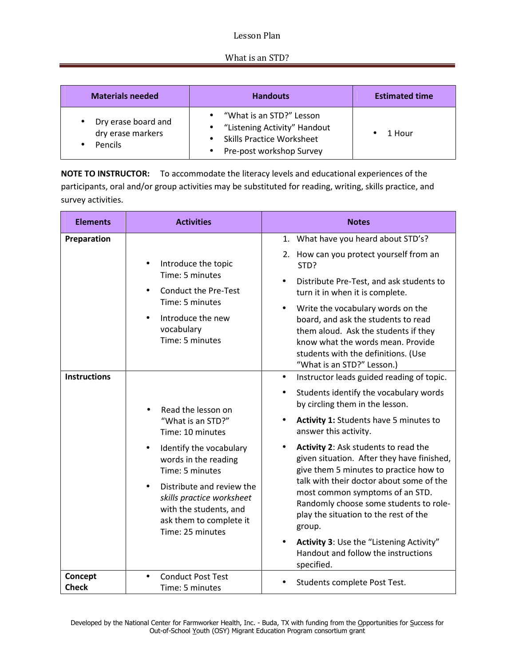## Lesson Plan

## What is an STD?

| <b>Materials needed</b>                                    | <b>Handouts</b>                                                                                                          | <b>Estimated time</b> |
|------------------------------------------------------------|--------------------------------------------------------------------------------------------------------------------------|-----------------------|
| Dry erase board and<br>dry erase markers<br><b>Pencils</b> | "What is an STD?" Lesson<br>"Listening Activity" Handout<br><b>Skills Practice Worksheet</b><br>Pre-post workshop Survey | 1 Hour                |

**NOTE TO INSTRUCTOR:** To accommodate the literacy levels and educational experiences of the participants, oral and/or group activities may be substituted for reading, writing, skills practice, and survey activities.

| <b>Elements</b>                    | <b>Activities</b>                                                                                                                                                                                                                                                                              | <b>Notes</b>                                                                                                                                                                                                                                                                                                                                                                                                                                                                                                                                              |
|------------------------------------|------------------------------------------------------------------------------------------------------------------------------------------------------------------------------------------------------------------------------------------------------------------------------------------------|-----------------------------------------------------------------------------------------------------------------------------------------------------------------------------------------------------------------------------------------------------------------------------------------------------------------------------------------------------------------------------------------------------------------------------------------------------------------------------------------------------------------------------------------------------------|
| Preparation<br><b>Instructions</b> | Introduce the topic<br>Time: 5 minutes<br><b>Conduct the Pre-Test</b><br>Time: 5 minutes<br>Introduce the new<br>$\bullet$<br>vocabulary<br>Time: 5 minutes                                                                                                                                    | 1. What have you heard about STD's?<br>2. How can you protect yourself from an<br>STD?<br>Distribute Pre-Test, and ask students to<br>$\bullet$<br>turn it in when it is complete.<br>Write the vocabulary words on the<br>board, and ask the students to read<br>them aloud. Ask the students if they<br>know what the words mean. Provide<br>students with the definitions. (Use<br>"What is an STD?" Lesson.)<br>Instructor leads guided reading of topic.<br>$\bullet$                                                                                |
|                                    | Read the lesson on<br>"What is an STD?"<br>Time: 10 minutes<br>Identify the vocabulary<br>$\bullet$<br>words in the reading<br>Time: 5 minutes<br>Distribute and review the<br>$\bullet$<br>skills practice worksheet<br>with the students, and<br>ask them to complete it<br>Time: 25 minutes | Students identify the vocabulary words<br>by circling them in the lesson.<br>Activity 1: Students have 5 minutes to<br>answer this activity.<br>Activity 2: Ask students to read the<br>given situation. After they have finished,<br>give them 5 minutes to practice how to<br>talk with their doctor about some of the<br>most common symptoms of an STD.<br>Randomly choose some students to role-<br>play the situation to the rest of the<br>group.<br>Activity 3: Use the "Listening Activity"<br>Handout and follow the instructions<br>specified. |
| Concept<br><b>Check</b>            | <b>Conduct Post Test</b><br>Time: 5 minutes                                                                                                                                                                                                                                                    | Students complete Post Test.                                                                                                                                                                                                                                                                                                                                                                                                                                                                                                                              |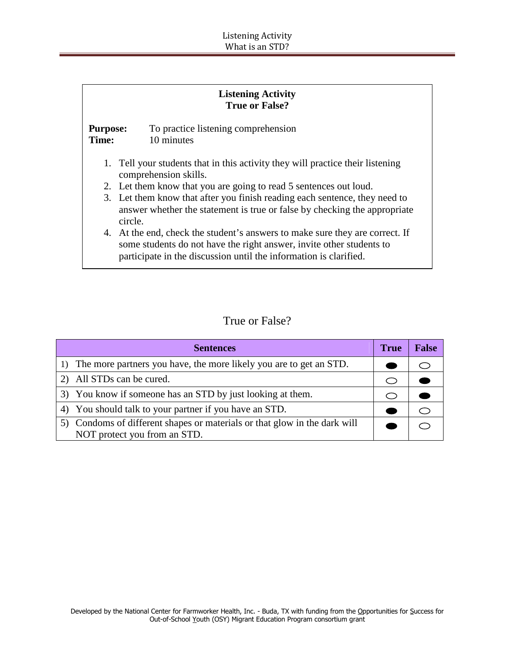| <b>Listening Activity</b><br><b>True or False?</b> |                                                                                                                                                                                                                           |  |  |
|----------------------------------------------------|---------------------------------------------------------------------------------------------------------------------------------------------------------------------------------------------------------------------------|--|--|
| <b>Purpose:</b><br>Time:                           | To practice listening comprehension<br>10 minutes                                                                                                                                                                         |  |  |
|                                                    | 1. Tell your students that in this activity they will practice their listening<br>comprehension skills.                                                                                                                   |  |  |
|                                                    | 2. Let them know that you are going to read 5 sentences out loud.                                                                                                                                                         |  |  |
|                                                    | 3. Let them know that after you finish reading each sentence, they need to<br>answer whether the statement is true or false by checking the appropriate<br>circle.                                                        |  |  |
|                                                    | 4. At the end, check the student's answers to make sure they are correct. If<br>some students do not have the right answer, invite other students to<br>participate in the discussion until the information is clarified. |  |  |

# True or False?

| <b>Sentences</b>                                                       | <b>True</b> | <b>False</b> |
|------------------------------------------------------------------------|-------------|--------------|
| The more partners you have, the more likely you are to get an STD.     |             |              |
| 2) All STDs can be cured.                                              |             |              |
| 3) You know if someone has an STD by just looking at them.             |             |              |
| 4) You should talk to your partner if you have an STD.                 |             |              |
| Condoms of different shapes or materials or that glow in the dark will |             |              |
| NOT protect you from an STD.                                           |             |              |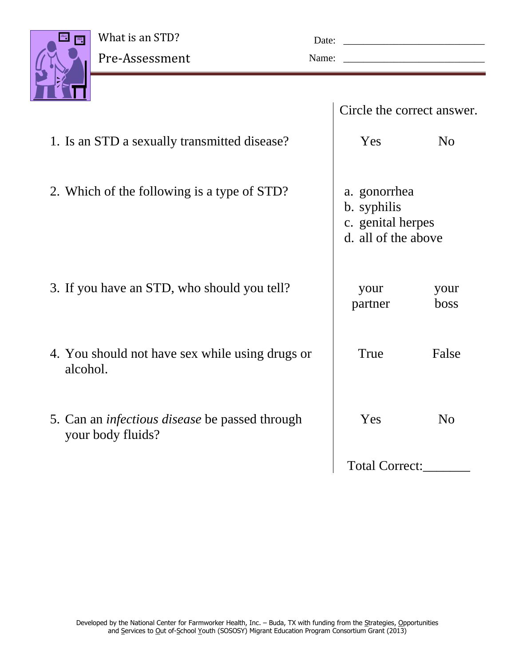

| Date: |  |
|-------|--|
| Name: |  |

|                                                                            | Circle the correct answer.                                              |                |
|----------------------------------------------------------------------------|-------------------------------------------------------------------------|----------------|
| 1. Is an STD a sexually transmitted disease?                               | Yes                                                                     | N <sub>0</sub> |
| 2. Which of the following is a type of STD?                                | a. gonorrhea<br>b. syphilis<br>c. genital herpes<br>d. all of the above |                |
| 3. If you have an STD, who should you tell?                                | your<br>partner                                                         | your<br>boss   |
| 4. You should not have sex while using drugs or<br>alcohol.                | True                                                                    | False          |
| 5. Can an <i>infectious disease</i> be passed through<br>your body fluids? | Yes                                                                     | N <sub>0</sub> |
|                                                                            | <b>Total Correct:</b>                                                   |                |